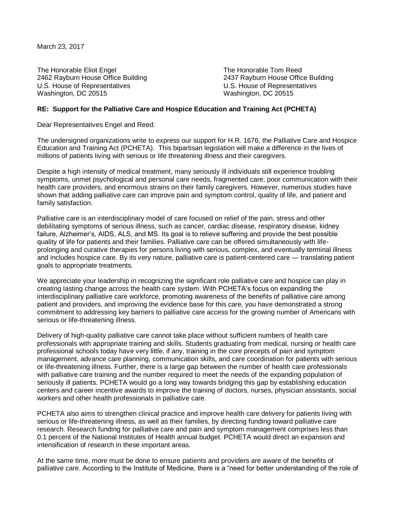March 23, 2017

The Honorable Eliot Engel The Honorable Tom Reed U.S. House of Representatives U.S. House of Representatives Washington, DC 20515 Washington, DC 20515

2462 Rayburn House Office Building 2437 Rayburn House Office Building

## **RE: Support for the Palliative Care and Hospice Education and Training Act (PCHETA)**

Dear Representatives Engel and Reed:

The undersigned organizations write to express our support for H.R. 1676, the Palliative Care and Hospice Education and Training Act (PCHETA). This bipartisan legislation will make a difference in the lives of millions of patients living with serious or life threatening illness and their caregivers.

Despite a high intensity of medical treatment, many seriously ill individuals still experience troubling symptoms, unmet psychological and personal care needs, fragmented care, poor communication with their health care providers, and enormous strains on their family caregivers. However, numerous studies have shown that adding palliative care can improve pain and symptom control, quality of life, and patient and family satisfaction.

Palliative care is an interdisciplinary model of care focused on relief of the pain, stress and other debilitating symptoms of serious illness, such as cancer, cardiac disease, respiratory disease, kidney failure, Alzheimer's, AIDS, ALS, and MS. Its goal is to relieve suffering and provide the best possible quality of life for patients and their families. Palliative care can be offered simultaneously with lifeprolonging and curative therapies for persons living with serious, complex, and eventually terminal illness and includes hospice care. By its very nature, palliative care is patient-centered care — translating patient goals to appropriate treatments.

We appreciate your leadership in recognizing the significant role palliative care and hospice can play in creating lasting change across the health care system. With PCHETA's focus on expanding the interdisciplinary palliative care workforce, promoting awareness of the benefits of palliative care among patient and providers, and improving the evidence base for this care, you have demonstrated a strong commitment to addressing key barriers to palliative care access for the growing number of Americans with serious or life-threatening illness.

Delivery of high-quality palliative care cannot take place without sufficient numbers of health care professionals with appropriate training and skills. Students graduating from medical, nursing or health care professional schools today have very little, if any, training in the core precepts of pain and symptom management, advance care planning, communication skills, and care coordination for patients with serious or life-threatening illness. Further, there is a large gap between the number of health care professionals with palliative care training and the number required to meet the needs of the expanding population of seriously ill patients. PCHETA would go a long way towards bridging this gap by establishing education centers and career incentive awards to improve the training of doctors, nurses, physician assistants, social workers and other health professionals in palliative care.

PCHETA also aims to strengthen clinical practice and improve health care delivery for patients living with serious or life-threatening illness, as well as their families, by directing funding toward palliative care research. Research funding for palliative care and pain and symptom management comprises less than 0.1 percent of the National Institutes of Health annual budget. PCHETA would direct an expansion and intensification of research in these important areas.

At the same time, more must be done to ensure patients and providers are aware of the benefits of palliative care. According to the Institute of Medicine, there is a "need for better understanding of the role of